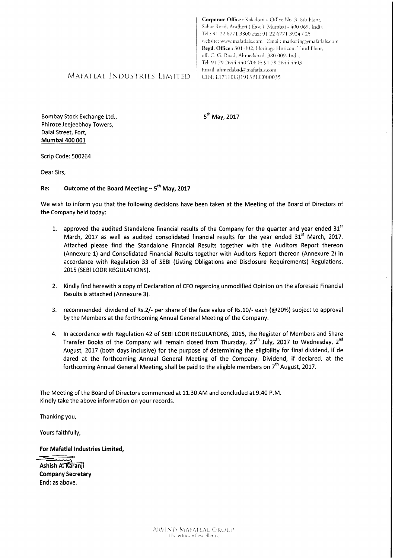Regd. Office: 301-302, Heritage Horizon, Third Floor, off. C. G. Road, Ahmedabad. 380 009. India Tel: 91 79 2644 4404/06 F: 91 79 2644 4403 Email: ahmedabad@mafatlals.com

Corporate Office : Kaledonia. Office No. 3, 6th Floor, Sahar Road, Andheri (East), Mumbai - 400 069. India Tel.: 91 22 6771 3800 Fax: 91 22 6771 3924 / 25

website: www.mafatlals.com Email: marketing@mafatlals.com

# MAFATLAL INDUSTRIES LIMITED | CIN: L17110GJ1913PLC000035

Bombay Stock Exchange Ltd., Phiroze Jeejeebhoy Towers, Dalai Street, Fort, Mumbai 400 001

5<sup>th</sup> May, 2017

Scrip Code: 500264

Dear Sirs,

#### Outcome of the Board Meeting - 5<sup>th</sup> May, 2017 Re:

We wish to inform you that the following decisions have been taken at the Meeting of the Board of Directors of the Company held today:

- 1. approved the audited Standalone financial results of the Company for the quarter and year ended 31st March, 2017 as well as audited consolidated financial results for the year ended 31<sup>st</sup> March, 2017. Attached please find the Standalone Financial Results together with the Auditors Report thereon (Annexure 1) and Consolidated Financial Results together with Auditors Report thereon (Annexure 2) in accordance with Regulation 33 of SEBI (Listing Obligations and Disclosure Requirements) Regulations, 2015 (SEBI LODR REGULATIONS).
- 2. Kindly find herewith a copy of Declaration of CFO regarding unmodified Opinion on the aforesaid Financial Results is attached (Annexure 3).
- 3. recommended dividend of Rs.2/- per share of the face value of Rs.10/- each (@20%) subject to approval by the Members at the forthcoming Annual General Meeting of the Company.
- 4. In accordance with Regulation 42 of SEBI LODR REGULATIONS, 2015, the Register of Members and Share Transfer Books of the Company will remain closed from Thursday, 27<sup>th</sup> July, 2017 to Wednesday, 2<sup>nd</sup> August, 2017 (both days inclusive) for the purpose of determining the eligibility for final dividend, if de dared at the forthcoming Annual General Meeting of the Company. Dividend, if declared, at the forthcoming Annual General Meeting, shall be paid to the eligible members on 7<sup>th</sup> August, 2017.

The Meeting of the Board of Directors commenced at 11.30 AM and concluded at 9.40 P.M. Kindly take the above information on your records.

Thanking you,

Yours faithfully,

For Mafatlal Industries Limited,

Ashish A. Karanii **Company Secretary** End: as above.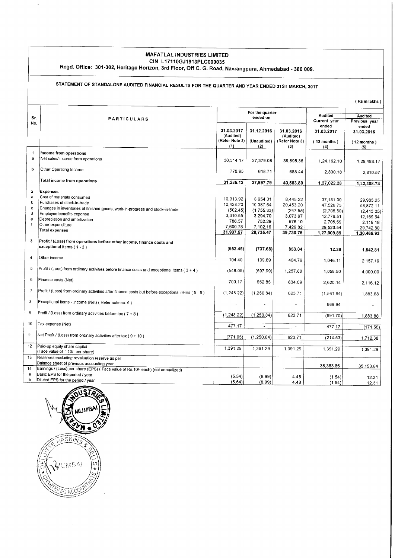#### MAFATLAL INDUSTRIES LIMITED ctN L1711ocJ1913PLC000035

Regd. Office: 301-302, Heritage Horizon, 3rd Floor, Off C. G. Road, Navrangpura, Ahmedabad - 380 009.

# STATEMENT OF STANDALONE AUDITED FINANCIAL RESULTS FOR THE QUARTER AND YEAR ENDED 31ST MARCH. 2017

( Rs in lakhs )

|                |                                                                                                   | For the quarter |                          |                |                                                            |               |
|----------------|---------------------------------------------------------------------------------------------------|-----------------|--------------------------|----------------|------------------------------------------------------------|---------------|
| Sr.            | <b>PARTICULARS</b>                                                                                |                 | ended on                 |                | <b>Audited</b><br>Audited<br>Current year<br>Previous year |               |
| No.            |                                                                                                   |                 |                          |                | ended                                                      | ended         |
|                |                                                                                                   | 31.03.2017      | 31.12.2016               | 31.03.2016     | 31.03.2017                                                 | 31.03.2016    |
|                |                                                                                                   | (Audited)       |                          | (Audited)      |                                                            |               |
|                |                                                                                                   | (Refer Note 3)  | (Unaudited)              | (Refer Note 3) | $(12$ months $)$                                           | $(12$ months) |
|                |                                                                                                   | (1)             | (2)                      | (3)            | (4)                                                        | (5)           |
| $\mathbf{1}$   | Income from operations                                                                            |                 |                          |                |                                                            |               |
| a              | Net sales/ income from operations                                                                 | 30.514.17       | 27,379.08                | 39,895.36      | 1.24.192.10                                                | 1,29,498.17   |
|                |                                                                                                   |                 |                          |                |                                                            |               |
| $\mathbf b$    | Other Operating Income                                                                            | 770.95          | 618.71                   | 688.44         | 2,830.18                                                   | 2,810.57      |
|                |                                                                                                   |                 |                          |                |                                                            |               |
|                | Total income from operations                                                                      | 31,285.12       | 27,997.79                | 40,583.80      | 1,27,022.28                                                | 1,32,308.74   |
| $\overline{2}$ | <b>Expenses</b>                                                                                   |                 |                          |                |                                                            |               |
| a              | Cost of materials consumed                                                                        |                 |                          |                |                                                            |               |
| b              | Purchases of stock-in-trade                                                                       | 10,313.92       | 8.954.01                 | 8.445.22       | 37,181.00                                                  | 29.985.25     |
| c              | Changes in inventories of finished goods, work-in-progress and stock-in-trade                     | 10,428.20       | 10,387.64                | 20,453.20      | 47,528.75                                                  | 58,872.11     |
| đ              | Employee benefits expense                                                                         | (502.45)        | (1,755.33)               | (247.55)       | (2,705.50)                                                 | (2,413.05)    |
| e              | Depreciation and amortization                                                                     | 3.310.55        | 3,294.70                 | 3.073.97       | 12,779.51                                                  | 12,159.64     |
| f              | Other expenditure                                                                                 | 786.57          | 752.29                   | 576.10         | 2,705.59                                                   | 2,119.18      |
|                | <b>Total expenses</b>                                                                             | 7,600.78        | 7,102.16                 | 7,429.82       | 29,520.54                                                  | 29,742.80     |
|                |                                                                                                   | 31,937.57       | 28,735.47                | 39,730.76      | 1,27,009.89                                                | 1,30,465.93   |
| 3              | Profit / (Loss) from operations before other income, finance costs and                            |                 |                          |                |                                                            |               |
|                | exceptional items (1-2)                                                                           |                 |                          |                |                                                            |               |
|                |                                                                                                   | (652.45)        | (737.68)                 | 853.04         | 12.39                                                      | 1,842.81      |
| 4              | Other income                                                                                      | 104,40          |                          |                |                                                            |               |
|                |                                                                                                   |                 | 139.69                   | 404.76         | 1,046.11                                                   | 2,157.19      |
| 5              | Profit / (Loss) from ordinary activities before finance costs and exceptional items (3 + 4)       | (548.05)        | (597.99)                 | 1,257.80       | 1,058.50                                                   |               |
|                |                                                                                                   |                 |                          |                |                                                            | 4,000.00      |
| 6              | Finance costs (Net)                                                                               | 700.17          | 652.85                   | 634.09         | 2,620.14                                                   |               |
|                |                                                                                                   |                 |                          |                |                                                            | 2,116.12      |
| $\overline{7}$ | Profit / (Loss) from ordinary activities after finance costs but before exceptional items (5 - 6) | (1, 248.22)     | (1,250.84)               | 623.71         | (1.561.64)                                                 | 1,883.88      |
|                |                                                                                                   |                 |                          |                |                                                            |               |
| 8              | Exceptional items - Income (Net) ( Refer note no. 6 )                                             |                 |                          |                | 869.94                                                     |               |
|                |                                                                                                   |                 |                          |                |                                                            |               |
| 9              | Profit / (Loss) from ordinary activities before tax ( $7 + 8$ )                                   | (1, 248.22)     | (1, 250.84)              | 623.71         | (691.70)                                                   | 1,883.88      |
|                |                                                                                                   |                 |                          |                |                                                            |               |
| 10             | Tax expense (Net)                                                                                 | 477.17          | $\overline{\phantom{a}}$ | $\blacksquare$ | 477.17                                                     | (171.50)      |
|                |                                                                                                   |                 |                          |                |                                                            |               |
| 11             | Net Profit / (Loss) from ordinary activities after tax (9 + 10)                                   | (771.05)        | (1, 250.84)              | 623.71         | (214.53)                                                   | 1,712.38      |
|                |                                                                                                   |                 |                          |                |                                                            |               |
| 12             | Paid-up equity share capital                                                                      | 1,391.29        | 1.391.29                 | 1,391.29       | 1.391.29                                                   | 1,391.29      |
| 13             | (Face value of ' 10/- per share)                                                                  |                 |                          |                |                                                            |               |
|                | Reserves excluding revaluation reserve as per                                                     |                 |                          |                |                                                            |               |
|                | Balance sheet of previous accounting year                                                         |                 |                          |                | 36,363.86                                                  | 35,153.84     |
| 14             | Earnings / (Loss) per share (EPS) (Face value of Rs.10/- each) (not annualized)                   |                 |                          |                |                                                            |               |
| a              | Basic EPS for the period / year                                                                   | (5.54)          | (8.99)                   | 4.48           | (1.54)                                                     | 12.31         |
| b              | Diluted EPS for the period / year                                                                 | (5.54)          | (8.99)                   | 4.48           | (1.54)                                                     | 12.31         |



 $\ddot{\phantom{a}}$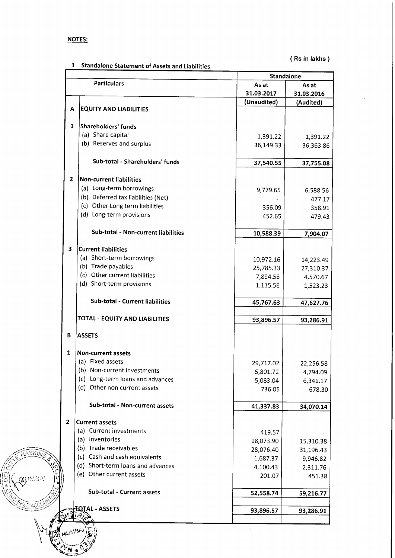# NOTES:

 $\begin{pmatrix} \mathcal{S} & \mathcal{S} \ \mathcal{S} & \mathcal{S} \end{pmatrix}$  $\sqrt{\omega}$ 

 $\sqrt{2}$ ,'.s\/  $\lesssim$ e $\gg$ 

f

.<br>j

 $(w_{\text{max}})$  $\mathbb{Z}_{N} \left( \mathbb{Z} \right)$ 

 $\lambda$ 

9;t

\*\*\*

 $\left(\begin{matrix} \begin{matrix} \begin{matrix} 0 \\ C \end{matrix} \end{matrix} \begin{matrix} \begin{matrix} C \end{matrix} \end{matrix} \begin{matrix} \begin{matrix} C \end{matrix} \end{matrix} \begin{matrix} \begin{matrix} \begin{matrix} C \end{matrix} \end{matrix} \end{matrix} \begin{matrix} \begin{matrix} C \end{matrix} \end{matrix} \begin{matrix} \begin{matrix} \begin{matrix} C \end{matrix} \end{matrix} \end{matrix} \begin{matrix} \begin{matrix} \begin{matrix} C \end{matrix} \end{matrix} \end{matrix} \begin{matrix} \begin{matrix} \begin{matrix} C \end{matrix} \end{matrix} \end{matrix} \begin$ 

i/3/

 $k$  $\sqrt{45}$ K $\sqrt{}}$ 

( Rs in lakhs )

|                | <b>Standalone Statement of Assets and Liabilities</b> | Standalone  |            |  |  |
|----------------|-------------------------------------------------------|-------------|------------|--|--|
|                | <b>Particulars</b>                                    | As at       | As at      |  |  |
|                |                                                       | 31.03.2017  | 31.03.2016 |  |  |
|                |                                                       | (Unaudited) | (Audited)  |  |  |
| A              | <b>EQUITY AND LIABILITIES</b>                         |             |            |  |  |
| 1              | Shareholders' funds                                   |             |            |  |  |
|                | (a) Share capital                                     | 1,391.22    | 1,391.22   |  |  |
|                | (b) Reserves and surplus                              | 36,149.33   | 36,363.86  |  |  |
|                | Sub-total - Shareholders' funds                       |             |            |  |  |
|                |                                                       | 37,540.55   | 37,755.08  |  |  |
| $\overline{2}$ | <b>Non-current liabilities</b>                        |             |            |  |  |
|                | (a) Long-term borrowings                              | 9,779.65    | 6,588.56   |  |  |
|                | (b) Deferred tax liabilities (Net)                    |             | 477.17     |  |  |
|                | (c) Other Long term liabilities                       | 356.09      | 358.91     |  |  |
|                | (d) Long-term provisions                              | 452.65      | 479.43     |  |  |
|                | Sub-total - Non-current liabilities                   | 10,588.39   | 7,904.07   |  |  |
|                |                                                       |             |            |  |  |
| 3              | <b>Current liabilities</b>                            |             |            |  |  |
|                | (a) Short-term borrowings                             | 10,972.16   | 14,223.49  |  |  |
|                | (b) Trade payables                                    | 25,785.33   | 27,310.37  |  |  |
|                | (c) Other current liabilities                         | 7,894.58    | 4,570.67   |  |  |
|                | (d) Short-term provisions                             | 1,115.56    | 1,523.23   |  |  |
|                | Sub-total - Current liabilities                       | 45,767.63   | 47,627.76  |  |  |
|                | TOTAL - EQUITY AND LIABILITIES                        | 93,896.57   | 93,286.91  |  |  |
|                |                                                       |             |            |  |  |
| В              | <b>ASSETS</b>                                         |             |            |  |  |
| 1              | Non-current assets                                    |             |            |  |  |
|                | (a) Fixed assets                                      | 29,717.02   | 22,256.58  |  |  |
|                | (b) Non-current investments                           | 5,801.72    | 4,794.09   |  |  |
|                | (c) Long-term loans and advances                      | 5,083.04    | 6,341.17   |  |  |
|                | (d) Other non current assets                          | 736.05      | 678.30     |  |  |
|                | Sub-total - Non-current assets                        | 41,337.83   | 34,070.14  |  |  |
| $\overline{2}$ | <b>Current assets</b>                                 |             |            |  |  |
|                | (a) Current investments                               |             |            |  |  |
|                | (a) Inventories                                       | 419.57      |            |  |  |
|                | (b) Trade receivables                                 | 18,073.90   | 15,310.38  |  |  |
|                | (c) Cash and cash equivalents                         | 28,076.40   | 31,196.43  |  |  |
|                | (d) Short-term loans and advances                     | 1,687.37    | 9,946.82   |  |  |
|                | (e) Other current assets                              | 4,100.43    | 2,311.76   |  |  |
|                |                                                       | 201.07      | 451.38     |  |  |
|                | Sub-total - Current assets                            | 52,558.74   | 59,216.77  |  |  |
|                |                                                       |             |            |  |  |
|                | <del>T</del> OTAL - ASSETS                            | 93,896.57   | 93,286.91  |  |  |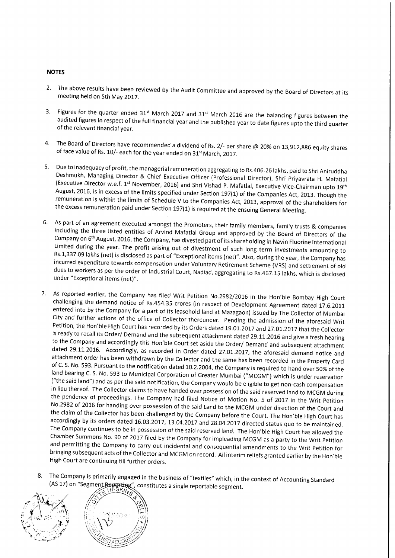#### **NOTES**

- The above results have been reviewed by the Audit committee and approved by the Board of Directors at its meeting held on 5th May 2017. 2.
- Figures for the quarter ended  $31^{st}$  March 2017 and  $31^{st}$  March 2016 are the balancing figures between the audited figures in respect of the full financial year and the published year to date figures upto the third qua 3.
- The Board of Directors have recommended a dividend of Rs. 2/- per share @ 20% on 13,912,886 equity shares of face value of Rs. 10/- each for the year ended on 31<sup>st</sup> March. 2017. 4.
- $5.$ Due to inadequacy of profit, the managerial remuneration aggregating to Rs.406.26 lakhs, paid to Shri Aniruddha<br>Deshmukh, Managing Director & Chief Executive Officer (Professional Director), Shri Priyavrata H. Mafatlal<br>(Ex
- 6. As part of an agreement executed amongst the Promoters, their family members, family trusts & companies including the three listed entities of Arvind Mafatlal Group and approved by the Board of Directors of the Company Limited during the year. The profit arising out of divestment of such long term investments amounting to<br>Rs.1,337.09 lakhs (net) is disclosed as part of "Exceptional items (net)". Also, during the year, the Company has<br>inc
- 7. As reported earlier, the Company has filed Writ Petition No.2982/2016 in the Hon'ble Bombay High Court challenging the demand notice of Rs.454.35 crores (in respect of Development Agreement dated 17.6.2011 entered into ("the said land") and as per the said notification, the Company would be eligible to get non-cash compensation<br>in lieu thereof. The Collector claims to have handed over possession of the said reserved land to MCGM during the pendency of proceedings. The Company had filed Notice of Motion No. 5 of 2017 in the Writ Petition<br>No.2982 of 2016 for handing over possession of the said Land to the MCGM under direction of the Court and the claim of the Collector has been challenged by the Company before the Court. The Hon'ble High Court has accordingly by its orders dated 16.03.2017, 13.04.2017 and 28.04.2017 directed status quo to be maintained. The Com bringing subsequent acts of the Collector and MCGM on record. All interim reliefs granted earlier by the Hon'ble High Court are continuing till further orders.
- The Company is primarily engaged in the business of "textiles" which, in the context of Accounting Standard (AS 17) on "Segment Reporting", constitutes a single reportable segment.



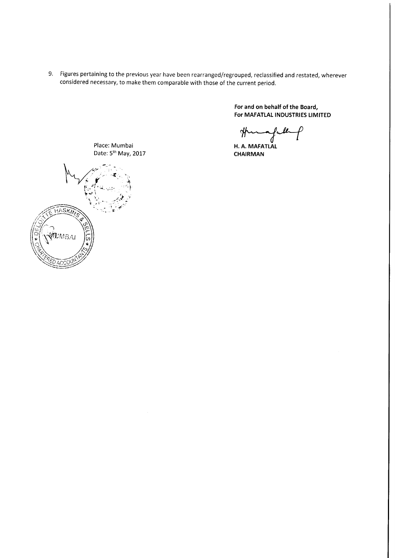9. Figures pertaining to the previous year have been rearranged/regrouped, reclassified and restated, wherever considered necessary, to make them comparable with those of the current period.

> For and on behalf of the Board, For MAFATLAL INDUSTRIES LIMITED

thung.

H. A. MAFATLAL CHAIRMAN



Place: Mumbai Date: 5<sup>th</sup> May, 2017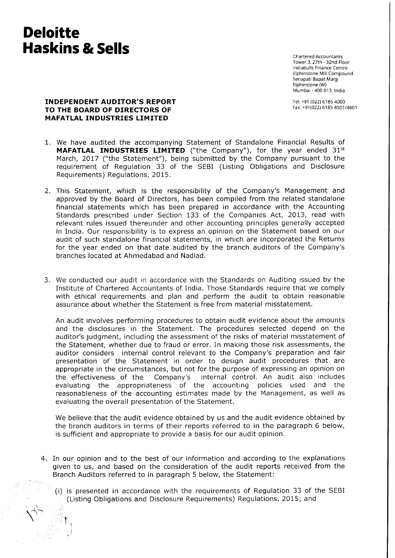# **Deloitte** Haskins & Sells

 $\bigtriangleup_{\omega}$  if

i ;j Chartered Accountants Tower 3, 27th - 32nd Floor lndiabulls Finance Centre Elphinstone Mill Compound Senapati Bapat Marg Elphinstone (W) Mumbai - 400 013, India

Iel: +91 (022) 6185 4000 Fax: +91(022) 6185 4501/4601

### INDEPENDENT AUDITOR'S REPORT TO THE BOARD OF DIRECTORS OF MAFATLAL INDUSTRIES LIMITED

- We have audited the accompanying Statement of Standalone Financial Results of 1. **MAFATLAL INDUSTRIES LIMITED** ("the Company"), for the year ended  $31<sup>st</sup>$ March, 2017 ("the Statement"), being submitted by the Company pursuant to the requirement of Regulation 33 of the SEBI (Listing Obligations and Disclosure Requirements) Regulations, 2015,
- This Statement, which is the responsibility of the Company's Management and 2. approved by the Board of Directors, has been compiled from the related standalone financial statements which has been prepared in accordance with the Accounting Standards prescribed under Section 133 of the Companies Act, 2013, read with relevant rules issued thereunder and other accounting principles generally accepted in India. Our responsibility is to express an opinion on the Statement based on our audit of such standalone financial statements, in which are incorporated the Returns for the year ended on that date audited by the branch auditors of the Company's branches located at Ahmedabad and Nadiad.
- 3. We conducted our audit in accordance with the Standards on Auditing issued by the Institute of Chartered Accountants of India. Those Standards require that we comply with ethical requirements and plan and perform the audit to obtain reasonable assurance about whether the Statement is free from material misstatement.

An audit involves performing procedures to obtain audit evidence about the amounts and the disclosures in the Statement, The procedures selected depend on the auditor's judgment, including the assessment of the risks of material misstatement of the Statement, whether due to fraud or error. In making those risk assessments, the auditor considers internal control relevant to the Company's preparation and fair presentation of the Statement in order to design audit procedures that are appropriate in the circumstances, but not for the purpose of expressing an opinion on the effectiveness of the Company's internal control. An audit also includes evaluating the appropriateness of the accounting policies used and the reasonableness of the accounting estimates made by the Management, as well as evaluating the overall presentation of the Statement.

We believe that the audit evidence obtained by us and the audit evidence obtained by the branch auditors in terms of their reports referred to in the paragraph 6 below, is sufficient and appropriate to provide a basis for our audit opinion.

- 4. In our opinion and to the best of our information and according to the explanations given to us, and based on the consideration of the audit reports received from the Branch Auditors referred to in paragraph 5 below, the Statement:
	- (i) is presented in accordance with the requirements of Regulation 33 of the SEBI (Listing Obligations and Disclosure Requirements) Regulations, 2015; and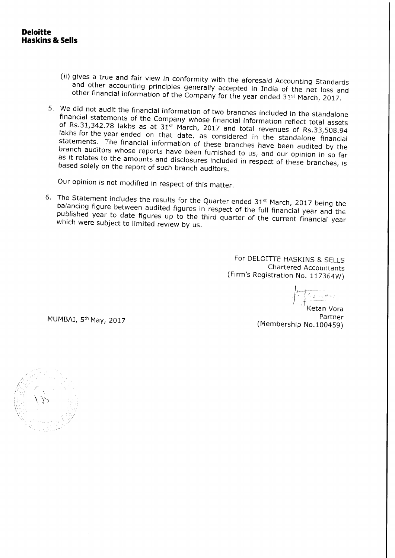- (ii) gives a true and fair view in conformity with the aforesaid Accounting Standards<br>and other accounting principles generally accepted in India of the net loss and<br>other financial information of the Company for the year
- 5. We did not audit the financial information of two branches included in the standalone of Rs.31,342.78 financial statements of the Company whose financial information reflect total assets lakhs for the year ended on that date, as considered in the standalone financial branch auditors whose reports have been furnished to us, and our opinion in so far statements. The financial information of these branches have been audited by the as branch auditors whose reports have been furnished to us, and our opinion in so far<br>as it relates to the amounts and disclosures included in respect of these branches, is<br>based solely on the report of such branch auditors.

Our opinion is not modified in respect of this matter.

6. The Statement includes the results for the Quarter ended  $31^{st}$  March, 2017 being the balancing figure between audited figures is published balancing figure between audited figures in respect of the full financial year and the published year to date figures up to the third quarter of the current financial year which were subject to limited review by us.

> For DELOITTE HASKINS & SELLS Chartered Accountants (Firm's Registration No. 117364W)

MUMBAi, 5th May, 2017

Ketan Vora Partner (Membership No. 100459)

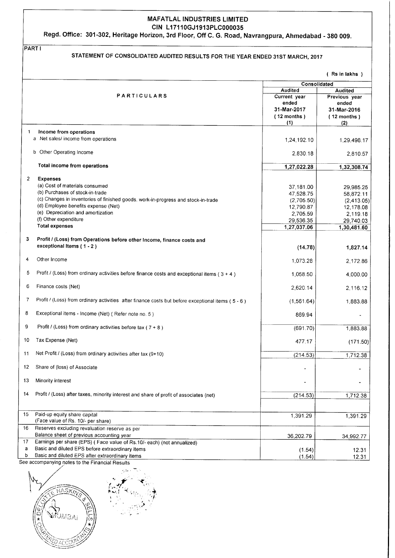#### MAFATLAL INDUSTRIES LIMITED CIN L17110GJ1913PLC000035

Regd. Office: 301-302, Heritage Horizon, 3rd Floor, Off C. G. Road, Navrangpura, Ahmedabad - 380 009.

PART <sup>I</sup> STATEMENT OF CONSOLIDATED AUDITED RESULTS FOR THE YEAR ENDED 31ST MARCH. 2017 ( Rs in lakhs ) **Consolidated** Audited Audited PARTICULARS Current year Previous year ended ended 31-Mar-2017 31-Mar-2016 ( 12 months ) ( 12 months )  $(1)$  $(2)$ 1 Income from operations a Net sales/ income from operations 1,24,192.10 1.29,498.17 b Other Operating Income 2,830 18 2,810 57 Total income from operations 1,27,022.28 1,32,308.74 2 Expenses (a) Cost of materials consumed 37,181.00 29,985.25 (b) Purchases of stock-in-trade 47,528.75 58,872.11 (c) Changes in inventories of finished goods, work-in-progress and stock-in-trade  $(2,705.50)$ (2,413 05) (d) Employee benefits expense (Net) 12,790.87 12,178.08 (e) Depreciation and amortization 2,705.59 2,119.18 (f) Other expenditure 29,s36.35 29,740.03 Total expenses 1.27.037.06 1,30,481.60 3 Profit / (Loss) from Operations before other Income, finance costs and exceptional Items (1 - 2) (14.78) 1,827.14 4 Other Income 1,073.28 2,172.86 5 Profit / (Loss) from ordinary activities before finance costs and exceptional items (3 + 4) 1,058.50 4,000.00 6 Finance costs (Net) 2,620.14 2,116.12 7 Profit / (Loss) from ordinary activities after finance costs but before exceptional items (5 - 6) (1,561.64) 1,883.88 8 Exceptional items - Income (Net) ( Refer note no. 5 ) 869.94 9 Profit / (Loss) from ordinary activities before tax ( $7 + 8$  )  $(691.70)$ 1,883.88 10 Tax Expense (Net) 477.17  $(171.50)$ 11 Net Profit / (Loss) from ordinary activities after tax (9+10)  $(214.53)$  1.712.38 12 Share of (loss) of Associate 13 Minority interest 14 Profit / (Loss) after taxes, minority interest and share of profit of associates (net)  $(214.53)$  1,712.38 15 Paid-up equity share capital and the control of the control of the control of the control of the control of the control of the control of the control of the control of the control of the control of the control of the co (Face value of Rs. 10/- per share) 16 Reserves excluding revaluation reserve as per Balance sheet of previous accounting year 36,202.79 34,992.77 17 Earnings per share (EPS) ( Face value of Rs.10/- each) (not annualized) a Basic and diluted EPS before extraordinary items (1.54) 12.31 Basic and diluted EPS after extraordinary items o  $(1.54)$ 12.31 See accompanying notes to the Financial Results

,-'.rf  $\sim$  l  $\sim$  $\downarrow$  $r_{\rm s}$  ,  $r_{\rm i}$  ,  $\star$  .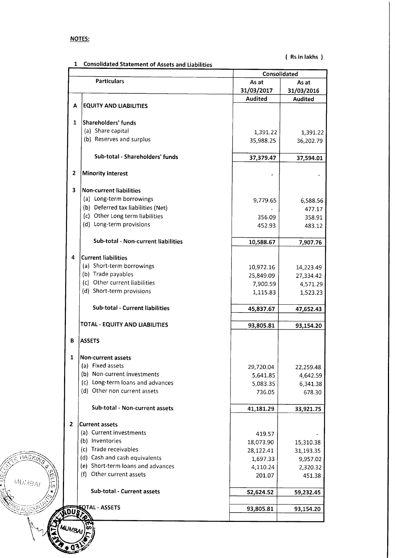| <b>NOTE:</b> |  |    |
|--------------|--|----|
|              |  | J. |

**FIASKM** 

itti HASKING PIP

 $\sum_{i=1}^{n}$  MUMBAI

 $\widetilde{\mathcal{Q}}$  ACCOUN

 $\breve{\leq} \varphi$  $\sqrt{\tilde{c}}$  $4I = \left(\frac{1}{2}\right)$ 

./:?/" " - **i**v<sup>i</sup><br>"

> lS. a (

1 Consolidated Statement of Assets and Liabilities

( Rs in lakhs )

|                | <b>Particulars</b>                  |                | Consolidated       |  |  |
|----------------|-------------------------------------|----------------|--------------------|--|--|
|                |                                     | As at          | As at              |  |  |
|                |                                     | 31/03/2017     | 31/03/2016         |  |  |
| А              | <b>EQUITY AND LIABILITIES</b>       | <b>Audited</b> | <b>Audited</b>     |  |  |
|                |                                     |                |                    |  |  |
| $\mathbf{1}$   | Shareholders' funds                 |                |                    |  |  |
|                | (a) Share capital                   | 1,391.22       | 1,391.22           |  |  |
|                | (b) Reserves and surplus            | 35,988.25      | 36,202.79          |  |  |
|                |                                     |                |                    |  |  |
|                | Sub-total - Shareholders' funds     | 37,379.47      | 37,594.01          |  |  |
| $\overline{2}$ | <b>Minority interest</b>            |                |                    |  |  |
| 3              | <b>Non-current liabilities</b>      |                |                    |  |  |
|                | (a) Long-term borrowings            | 9,779.65       |                    |  |  |
|                | (b) Deferred tax liabilities (Net)  |                | 6,588.56<br>477.17 |  |  |
|                | (c) Other Long term liabilities     | 356.09         |                    |  |  |
|                | (d) Long-term provisions            | 452.93         | 358.91<br>483.12   |  |  |
|                |                                     |                |                    |  |  |
|                | Sub-total - Non-current liabilities | 10,588.67      | 7,907.76           |  |  |
| 4              | <b>Current liabilities</b>          |                |                    |  |  |
|                | (a) Short-term borrowings           | 10,972.16      | 14,223.49          |  |  |
|                | (b) Trade payables                  | 25,849.09      | 27,334.42          |  |  |
|                | (c) Other current liabilities       | 7,900.59       | 4,571.29           |  |  |
|                | (d) Short-term provisions           | 1,115.83       | 1,523.23           |  |  |
|                | Sub-total - Current liabilities     | 45,837.67      | 47,652.43          |  |  |
|                | TOTAL - EQUITY AND LIABILITIES      | 93,805.81      | 93,154.20          |  |  |
| в              | <b>ASSETS</b>                       |                |                    |  |  |
|                |                                     |                |                    |  |  |
| 1              | <b>Non-current assets</b>           |                |                    |  |  |
|                | (a) Fixed assets                    | 29,720.04      | 22,259.48          |  |  |
|                | (b) Non-current investments         | 5,641.85       | 4,642.59           |  |  |
|                | (c) Long-term loans and advances    | 5,083.35       | 6,341.38           |  |  |
|                | (d) Other non current assets        | 736.05         | 678.30             |  |  |
|                | Sub-total - Non-current assets      | 41,181.29      | 33,921.75          |  |  |
| 2              | <b>Current assets</b>               |                |                    |  |  |
|                | (a) Current investments             | 419.57         |                    |  |  |
|                | (b) Inventories                     | 18,073.90      | 15,310.38          |  |  |
|                | (c) Trade receivables               | 28,122.41      | 31,193.35          |  |  |
|                | (d) Cash and cash equivalents       | 1,697.33       | 9,957.02           |  |  |
|                | (e) Short-term loans and advances   | 4,110.24       | 2,320.32           |  |  |
|                | (f) Other current assets            | 201.07         | 451.38             |  |  |
|                | Sub-total - Current assets          | 52,624.52      | 59,232.45          |  |  |
|                | <b>IQTAL - ASSETS</b>               | 93,805.81      | 93,154.20          |  |  |
| dus            |                                     |                |                    |  |  |
| MUMBAI         |                                     |                |                    |  |  |
|                |                                     |                |                    |  |  |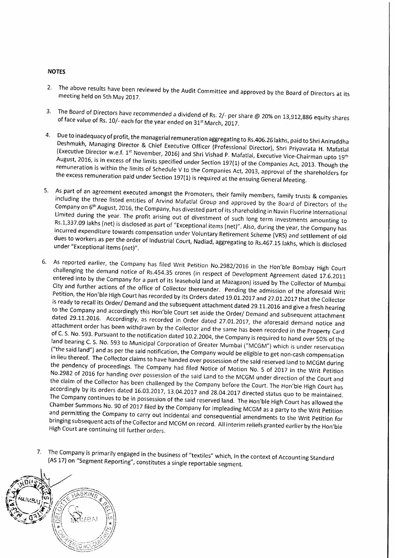#### **NOTES**

- 2' The above results have been reviewed by the Audit committee and approved by the Board of Directors at its held on 5th May 2017. meeting held on 5th May 2017.
- 3. The Board of Directors have recommended a dividend of Rs. 2/- per share @ 20% on 13,912,886 equity shares<br>19 of face value of Rs. 10/- each for the year ended on 31<sup>st</sup> March, 2017. of face value of Rs. 10/- each for the year ended on 31<sup>st</sup> March, 2017.
- 4. Due to inadequacy of profit, the managerial remuneration aggregating to Rs.406.26 lakhs, paid to Shri Aniruddha<br>Deshmukh, Managing Director & Chief Executive Officer (Professional Director), Shri Priyavrata H. Mafatlal August, 2016, is in excess of the limits specified under Section 197(1) of the Companies Act, 2013. Though the (Executive Director w.e.f. 1<sup>st</sup> November, 2016) and Shri Vishad P. Mafatlal, Executive Vice-Chairman upto 19<sup>th</sup> remuneration August, 2016, is in excess of the limits specified under Section 197(1) of the Companies Act, 2013. Though the<br>remuneration is within the limits of Schedule V to the Companies Act, 2013, approval of the shareholders for<br>th
- 5. As part of an agreement executed amongst the Promoters, their family members, family trusts & companies including the three listed entities of Arvind Mafatlal Group and approved by the Board of Directors of the Company Rs.1,337.09 Limited during the year. The profit arising out of divestment of such long term investments amounting to<br>Rs.1,337.09 lakhs (net) is disclosed as part of "Exceptional items (net)". Also, during the year, the Company has<br>inc
- 6. As reported earlier, the Company has filed Writ Petition No.2982/2016 in the Hon'ble Bombay High Court challenging the demand notice of Rs.454.35 crores (in respect of Development Agreement dated 17.6.2011 entered into Petition, the Hon'ble High Court has recorded by its Orders dated 19.01.2017 and 27.01.2017 that the Collector<br>is ready to recall its Order/ Demand and the subsequent attachment dated 29.11.2016 and give a fresh hearing<br>to ("the said land") and as per the said notification, the Company would be eligible to get non-cash compensation in lieu thereof. The Collector claims to have handed over possession of the said reserved land to MCGM during No.2982 of 2016 for handing over possession of the said Land to the MCGM under direction of the Court and<br>the claim of the Collector has been challenged by the Company before the Court. The Hon'ble High Court has<br>according chamber The Company continues to be in possession of the said reserved land. The Hon'ble High Court has allowed the<br>Chamber Summons No. 90 of 2017 filed by the Company for impleading MCGM as a party to the Writ Petition<br>and permit High Court are continuing till further orders. and permitting the Company to carry out incidental and consequential amendments to the Writ Petition for<br>bringing subsequent acts of the Collector and MCGM on record. All interim reliefs granted earlier by the Hon'ble
- 7. The Company is primarily engaged in the business of "textiles" which, in the context of Accounting Standard<br>(AS 17) on "Segment Reporting", constitutes a single reportable segment.

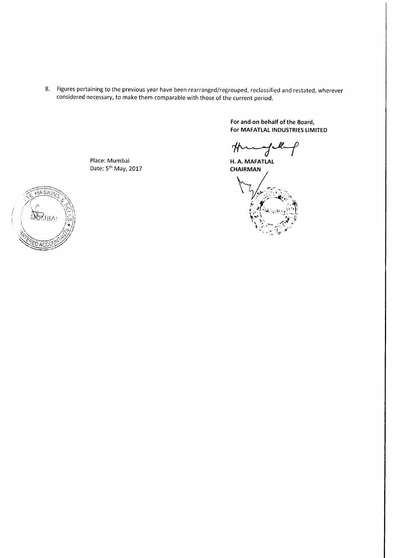8. Figures pertaining to the previous year have been rearranged/regrouped, reclassified and restated, wherever considered necessary, to make them comparable with those of the current period.

> For and on behalf of the Board, For MAFATLAL INDUSTRIES LIMITED

things

H. A. MAFATLAL **CHAIRMAN** 



Place: Mumbai Date: 5<sup>th</sup> May, 2017

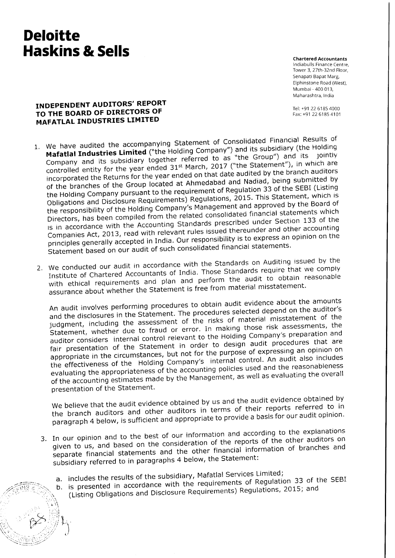# **Deloitte** Haskins & Sells

 $: \frac{1}{\sqrt{2\pi n}}$ 

 $\lesssim$ 

1.i.' 'ii,

/ A.MS & S.

.' .i.

 $\mathbb{Z}_2$ 

-

Chartered Accountants Indiabulls Finance Centre, Tower 3, 27th-32nd Floor, Senapati Bapat Marg, Elphinstone Road (West), Mumbai - 400 013, Maharashtra, India

Tel: +91 22 6185 4000 Fax: +91 22 6185 4101

# INDEPENDENT AUDITORS' REPORT TO THE BOARD OF DIRECTORS OF **MAFATLAL INDUSTRIES LIMITED**

- 1. We have audited the accompanying Statement of Consolidated Financial Results of Mafatlal Industries Limited ("the Holding Company") and its subsidiary (the Holding Company and its subsidiary together referred to as "the Group") and its jointly controlled entity for the year ended 31<sup>st</sup> March, 2017 ("the Statement"), in which are incorporated the Returns for the year ended on that date audited by the branch auditors of the branches of the Group located at Ahmedabad and Nadiad, being submitted by the Holding Company pursuant to the requirement of Regulation 33 of the SEBI (Listing Obligations and Disclosure Requirements) Regulations, 2015. This Statement, which is the responsibility of the Holding Company's Management and approved by the Board of Directors, has been compiled from the related consolidated financial statements which is in accordance with the Accounting Standards prescribed under Section 133 of the Companies Act, 2013, read with relevant rules issued thereunder and other accounting principles generally accepted in India. Our responsibility is to express an opinion on the statement based on our audit of such consolidated financial statements.<br>2. We conducted our audit in accordance with the Standards on Auditing issued by the
- 2. We conducted our audit in accordance with the Standards on Auditing<br>Institute of Chartered Accountants of India. Those Standards require that we comply with ethical requirements and plan and perform the audit to obtain reasonable assurance about whether the Statement is free from material misstatement.

An audit involves performing procedures to obtain audit evidence about the amounts and the disclosures in the Statement. The procedures selected depend on the auditor's judgment, including the assessment of the risks of material misstatement of the statement, whether due to fraud or error. In making those risk assessments, the auditor considers internal control relevant to the Holding company's preparation and fair presentation of the statement in order to design audit procedures that are fair presentation of the Statement in order to allege of expressing an opinion on<br>appropriate in the circumstances, but not for the purpose of expressing an opinion on the effectiveness of the Holding Company's internal control. An audit also includes evaluating the appropriateness of the accounting policies used and the reasonableness of the accounting estimates made by the Management, as well as evaluating the overall presentation of the Statement.

we believe that the audit evidence obtained by us and the audit evidence obtained by the branch auditors and other auditors in terms of their reports referred to in paragraph 4 below, is sufficient and appropriate to provide a basis for our audit opinion.

- 3. In our opinion and to the best of our information and according to the explanations given to us, and based on the consideration of the reports of the other auditors on separate financial statements and the other financial information of branches and subsidiary referred to in paragraphs 4 below, the Statement:
	- a. includes the results of the subsidiary, Mafatlal Services Limited;
	- b. is presented in accordance with the requirements of Regulation 33 of the SEBI  $\mathcal{N}$ (Listing Obligations and Disclosure Requirements) Regulations, 2015; and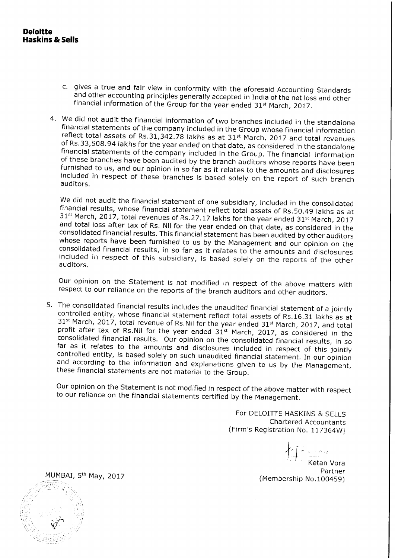- c. gives a true and fair view in conformity with the aforesaid Accounting Standards<br>and other accounting principles generally accepted in India of the net loss and other<br>financial information of the Group for the year end
- 4. We did not audit the financial information of two branches included in the standalone financial statements of the company included in the Group whose financial information reflect total assets of Rs.31,342.78 lakhs as auditors.

We did not audit the financial statement of one subsidiary, included in the consolidated financial results, whose financial statement reflect total assets of Rs.50.49 lakhs as at 31<sup>st</sup> March, 2017, total revenues of Rs.2 auditors.

our opinion on the Statement is not modified in respect of the above matters with respect to our reliance on the reports of the branch auditors and other auditors.

5. The consolidated financial results includes the unaudited financial statement of a jointly controlled entity, whose financial statement reflect total assets of Rs.16.31 lakhs as at  $31<sup>st</sup>$  March, 2017, total revenue of Rs.Nil for the year ended  $31<sup>st</sup>$  March, 2017, and total profit after tax of Rs.Nil for the year ended  $31<sup>st</sup>$  March, 2017, as considered in the consolidated financial res

Our opinion on the Statement is not modified in respect of the above matter with respect to our reliance on the financial statements certified by the Management.

For DELOITTE HASKINS & SELLS Chartered Accountants (Firm's Registration No, 117364W)

t..  $\left\langle \frac{1}{2}, \frac{1}{2} \right\rangle$ Ketan Vora Partner (Membership No. 100459)